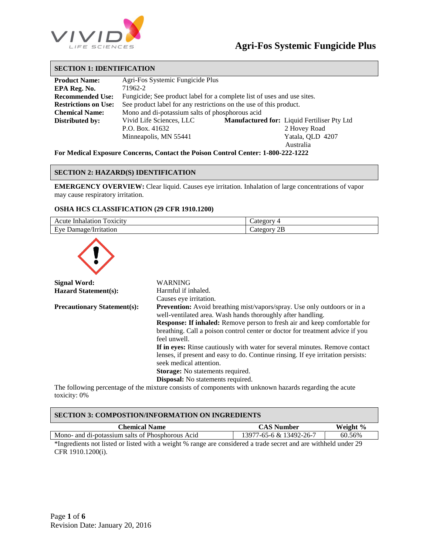

#### **SECTION 1: IDENTIFICATION**

| Agri-Fos Systemic Fungicide Plus |                                                                                                                                                                                                  |
|----------------------------------|--------------------------------------------------------------------------------------------------------------------------------------------------------------------------------------------------|
| 71962-2                          |                                                                                                                                                                                                  |
|                                  |                                                                                                                                                                                                  |
|                                  |                                                                                                                                                                                                  |
|                                  |                                                                                                                                                                                                  |
| Vivid Life Sciences, LLC         | Manufactured for: Liquid Fertiliser Pty Ltd                                                                                                                                                      |
| P.O. Box. 41632                  | 2 Hovey Road                                                                                                                                                                                     |
| Minneapolis, MN 55441            | Yatala, QLD 4207                                                                                                                                                                                 |
|                                  | Australia                                                                                                                                                                                        |
|                                  | Fungicide; See product label for a complete list of uses and use sites.<br>See product label for any restrictions on the use of this product.<br>Mono and di-potassium salts of phosphorous acid |

**For Medical Exposure Concerns, Contact the Poison Control Center: 1-800-222-1222**

#### **SECTION 2: HAZARD(S) IDENTIFICATION**

**EMERGENCY OVERVIEW:** Clear liquid. Causes eye irritation. Inhalation of large concentrations of vapor may cause respiratory irritation.

#### **OSHA HCS CLASSIFICATION (29 CFR 1910.1200)**

| $\sim$<br><b>OXICITY</b><br>'nhalation<br>Acute              | $0.400$ $0.000$     |
|--------------------------------------------------------------|---------------------|
| $\blacksquare$<br>trritation<br>E.ve<br>mage.<br>' Jal.<br>- | 2Β<br>$  -$<br>Cate |



| Signal Word:                       | WARNING                                                                          |
|------------------------------------|----------------------------------------------------------------------------------|
| <b>Hazard Statement(s):</b>        | Harmful if inhaled.                                                              |
|                                    | Causes eye irritation.                                                           |
| <b>Precautionary Statement(s):</b> | <b>Prevention:</b> Avoid breathing mist/vapors/spray. Use only outdoors or in a  |
|                                    | well-ventilated area. Wash hands thoroughly after handling.                      |
|                                    | <b>Response: If inhaled:</b> Remove person to fresh air and keep comfortable for |
|                                    | breathing. Call a poison control center or doctor for treatment advice if you    |
|                                    | feel unwell.                                                                     |
|                                    | If in eyes: Rinse cautiously with water for several minutes. Remove contact      |
|                                    | lenses, if present and easy to do. Continue ringing. If eye irritation persists: |
|                                    | seek medical attention.                                                          |
|                                    | <b>Storage:</b> No statements required.                                          |
|                                    | Disposal: No statements required.                                                |

The following percentage of the mixture consists of components with unknown hazards regarding the acute toxicity: 0%

| <b>SECTION 3: COMPOSTION/INFORMATION ON INGREDIENTS</b>                                                                     |                         |          |
|-----------------------------------------------------------------------------------------------------------------------------|-------------------------|----------|
| Chemical Name                                                                                                               | <b>CAS Number</b>       | Weight % |
| Mono- and di-potassium salts of Phosphorous Acid                                                                            | 13977-65-6 & 13492-26-7 | 60.56%   |
| $\star$ Transdigate not lieted on lieted with a worker $\mu$ neares are considered a trade secret and one withhold wader 20 |                         |          |

\*Ingredients not listed or listed with a weight % range are considered a trade secret and are withheld under 29 CFR 1910.1200(i).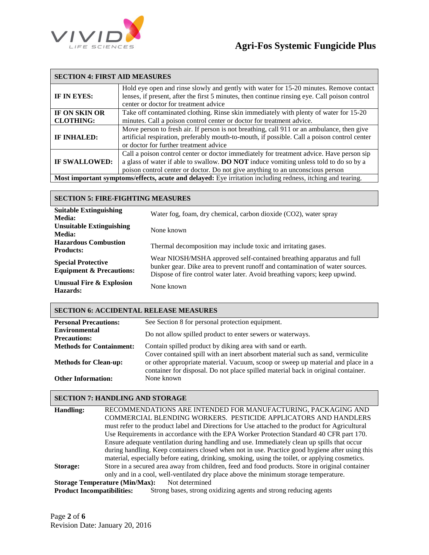

| <b>SECTION 4: FIRST AID MEASURES</b> |                                                                                                                                                                                         |
|--------------------------------------|-----------------------------------------------------------------------------------------------------------------------------------------------------------------------------------------|
| IF IN EYES:                          | Hold eye open and rinse slowly and gently with water for 15-20 minutes. Remove contact<br>lenses, if present, after the first 5 minutes, then continue rinsing eye. Call poison control |
|                                      | center or doctor for treatment advice                                                                                                                                                   |
| IF ON SKIN OR                        | Take off contaminated clothing. Rinse skin immediately with plenty of water for 15-20                                                                                                   |
| <b>CLOTHING:</b>                     | minutes. Call a poison control center or doctor for treatment advice.                                                                                                                   |
|                                      | Move person to fresh air. If person is not breathing, call 911 or an ambulance, then give                                                                                               |
| IF INHALED:                          | artificial respiration, preferably mouth-to-mouth, if possible. Call a poison control center                                                                                            |
|                                      | or doctor for further treatment advice                                                                                                                                                  |
|                                      | Call a poison control center or doctor immediately for treatment advice. Have person sip                                                                                                |
| <b>IF SWALLOWED:</b>                 | a glass of water if able to swallow. <b>DO NOT</b> induce vomiting unless told to do so by a                                                                                            |
|                                      | poison control center or doctor. Do not give anything to an unconscious person                                                                                                          |
|                                      | Most important symptoms/effects, acute and delayed: Eye irritation including redness, itching and tearing.                                                                              |

#### **SECTION 5: FIRE-FIGHTING MEASURES**

| <b>Suitable Extinguishing</b><br>Media:                          | Water fog, foam, dry chemical, carbon dioxide (CO2), water spray                                                                                                                                                                  |
|------------------------------------------------------------------|-----------------------------------------------------------------------------------------------------------------------------------------------------------------------------------------------------------------------------------|
| <b>Unsuitable Extinguishing</b><br><b>Media:</b>                 | None known                                                                                                                                                                                                                        |
| <b>Hazardous Combustion</b><br><b>Products:</b>                  | Thermal decomposition may include toxic and irritating gases.                                                                                                                                                                     |
| <b>Special Protective</b><br><b>Equipment &amp; Precautions:</b> | Wear NIOSH/MSHA approved self-contained breathing apparatus and full<br>bunker gear. Dike area to prevent runoff and contamination of water sources.<br>Dispose of fire control water later. Avoid breathing vapors; keep upwind. |
| Unusual Fire & Explosion<br>Hazards:                             | None known                                                                                                                                                                                                                        |

## **SECTION 6: ACCIDENTAL RELEASE MEASURES**

| <b>Personal Precautions:</b>                | See Section 8 for personal protection equipment.                                                                                                                      |
|---------------------------------------------|-----------------------------------------------------------------------------------------------------------------------------------------------------------------------|
| <b>Environmental</b><br><b>Precautions:</b> | Do not allow spilled product to enter sewers or waterways.                                                                                                            |
| <b>Methods for Containment:</b>             | Contain spilled product by diking area with sand or earth.                                                                                                            |
|                                             | Cover contained spill with an inert absorbent material such as sand, vermiculite                                                                                      |
| <b>Methods for Clean-up:</b>                | or other appropriate material. Vacuum, scoop or sweep up material and place in a<br>container for disposal. Do not place spilled material back in original container. |
| <b>Other Information:</b>                   | None known                                                                                                                                                            |

## **SECTION 7: HANDLING AND STORAGE**

| <b>Handling:</b>                  | RECOMMENDATIONS ARE INTENDED FOR MANUFACTURING, PACKAGING AND                                   |
|-----------------------------------|-------------------------------------------------------------------------------------------------|
|                                   | COMMERCIAL BLENDING WORKERS. PESTICIDE APPLICATORS AND HANDLERS                                 |
|                                   | must refer to the product label and Directions for Use attached to the product for Agricultural |
|                                   | Use Requirements in accordance with the EPA Worker Protection Standard 40 CFR part 170.         |
|                                   | Ensure adequate ventilation during handling and use. Immediately clean up spills that occur     |
|                                   | during handling. Keep containers closed when not in use. Practice good hygiene after using this |
|                                   | material, especially before eating, drinking, smoking, using the toilet, or applying cosmetics. |
| Storage:                          | Store in a secured area away from children, feed and food products. Store in original container |
|                                   | only and in a cool, well-ventilated dry place above the minimum storage temperature.            |
|                                   | Not determined<br><b>Storage Temperature (Min/Max):</b>                                         |
| <b>Product Incompatibilities:</b> | Strong bases, strong oxidizing agents and strong reducing agents                                |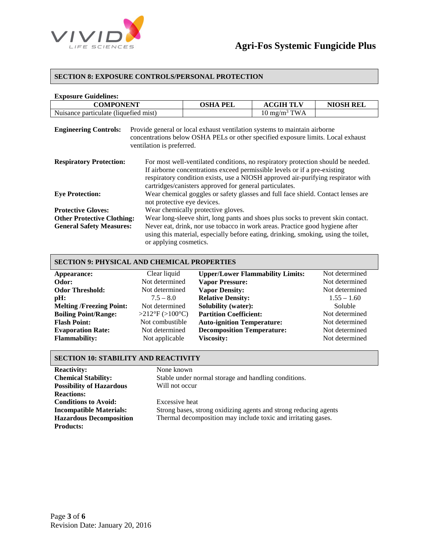

#### **SECTION 8: EXPOSURE CONTROLS/PERSONAL PROTECTION**

| <b>Exposure Guidelines:</b>           |                                                                                                                 |                                                                                                                                                                                                                                                                                                              |                         |                  |
|---------------------------------------|-----------------------------------------------------------------------------------------------------------------|--------------------------------------------------------------------------------------------------------------------------------------------------------------------------------------------------------------------------------------------------------------------------------------------------------------|-------------------------|------------------|
| <b>COMPONENT</b>                      |                                                                                                                 | <b>OSHA PEL</b>                                                                                                                                                                                                                                                                                              | <b>ACGIH TLV</b>        | <b>NIOSH REL</b> |
| Nuisance particulate (liquefied mist) |                                                                                                                 |                                                                                                                                                                                                                                                                                                              | $10 \text{ mg/m}^3$ TWA |                  |
| <b>Engineering Controls:</b>          | ventilation is preferred.                                                                                       | Provide general or local exhaust ventilation systems to maintain airborne<br>concentrations below OSHA PELs or other specified exposure limits. Local exhaust                                                                                                                                                |                         |                  |
| <b>Respiratory Protection:</b>        |                                                                                                                 | For most well-ventilated conditions, no respiratory protection should be needed.<br>If airborne concentrations exceed permissible levels or if a pre-existing<br>respiratory condition exists, use a NIOSH approved air-purifying respirator with<br>cartridges/canisters approved for general particulates. |                         |                  |
| <b>Eye Protection:</b>                | Wear chemical goggles or safety glasses and full face shield. Contact lenses are<br>not protective eye devices. |                                                                                                                                                                                                                                                                                                              |                         |                  |
| <b>Protective Gloves:</b>             | Wear chemically protective gloves.                                                                              |                                                                                                                                                                                                                                                                                                              |                         |                  |
| <b>Other Protective Clothing:</b>     | Wear long-sleeve shirt, long pants and shoes plus socks to prevent skin contact.                                |                                                                                                                                                                                                                                                                                                              |                         |                  |
| <b>General Safety Measures:</b>       | or applying cosmetics.                                                                                          | Never eat, drink, nor use tobacco in work areas. Practice good hygiene after<br>using this material, especially before eating, drinking, smoking, using the toilet,                                                                                                                                          |                         |                  |

## **SECTION 9: PHYSICAL AND CHEMICAL PROPERTIES**

| Appearance:                     | Clear liquid    | <b>Upper/Lower Flammability Limits:</b> | Not determined |
|---------------------------------|-----------------|-----------------------------------------|----------------|
| Odor:                           | Not determined  | <b>Vapor Pressure:</b>                  | Not determined |
| <b>Odor Threshold:</b>          | Not determined  | <b>Vapor Density:</b>                   | Not determined |
| pH:                             | $7.5 - 8.0$     | <b>Relative Density:</b>                | $1.55 - 1.60$  |
| <b>Melting /Freezing Point:</b> | Not determined  | <b>Solubility (water):</b>              | Soluble        |
| <b>Boiling Point/Range:</b>     | >212°F (>100°C) | <b>Partition Coefficient:</b>           | Not determined |
| <b>Flash Point:</b>             | Not combustible | <b>Auto-ignition Temperature:</b>       | Not determined |
| <b>Evaporation Rate:</b>        | Not determined  | <b>Decomposition Temperature:</b>       | Not determined |
| <b>Flammability:</b>            | Not applicable  | <b>Viscosity:</b>                       | Not determined |
|                                 |                 |                                         |                |

## **SECTION 10: STABILITY AND REACTIVITY**

| <b>Reactivity:</b>              | None known                                                       |
|---------------------------------|------------------------------------------------------------------|
| <b>Chemical Stability:</b>      | Stable under normal storage and handling conditions.             |
| <b>Possibility of Hazardous</b> | Will not occur                                                   |
| <b>Reactions:</b>               |                                                                  |
| <b>Conditions to Avoid:</b>     | Excessive heat                                                   |
| <b>Incompatible Materials:</b>  | Strong bases, strong oxidizing agents and strong reducing agents |
| <b>Hazardous Decomposition</b>  | Thermal decomposition may include toxic and irritating gases.    |
| <b>Products:</b>                |                                                                  |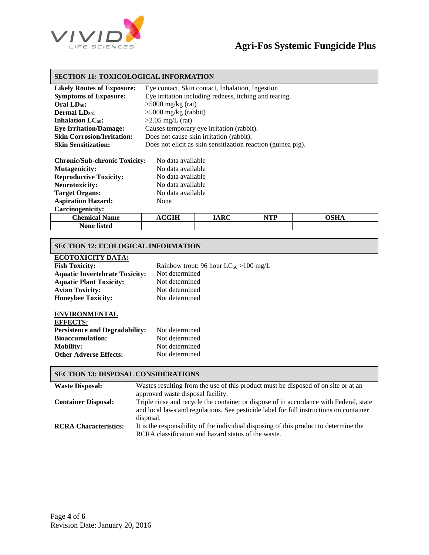

## **SECTION 11: TOXICOLOGICAL INFORMATION**

| Eye contact, Skin contact, Inhalation, Ingestion             |
|--------------------------------------------------------------|
| Eye irritation including redness, itching and tearing.       |
| $>5000$ mg/kg (rat)                                          |
| $>5000$ mg/kg (rabbit)                                       |
| $>2.05$ mg/L (rat)                                           |
| Causes temporary eye irritation (rabbit).                    |
| Does not cause skin irritation (rabbit).                     |
| Does not elicit as skin sensitization reaction (guinea pig). |
|                                                              |

| <b>Chronic/Sub-chronic Toxicity:</b> | No data available |
|--------------------------------------|-------------------|
| <b>Mutagenicity:</b>                 | No data available |
| <b>Reproductive Toxicity:</b>        | No data available |
| <b>Neurotoxicity:</b>                | No data available |
| <b>Target Organs:</b>                | No data available |
| <b>Aspiration Hazard:</b>            | None              |
| Carcinogenicity:                     |                   |
|                                      |                   |

| <b>Chemical</b><br>Name               | $_{\rm CGIH}$<br>$\mathbf{a}$ | IARC | NTP<br>. | лси |
|---------------------------------------|-------------------------------|------|----------|-----|
| $\bullet$ $\bullet$<br>None<br>listed |                               |      |          |     |
|                                       |                               |      |          |     |

#### **SECTION 12: ECOLOGICAL INFORMATION**

#### **ECOTOXICITY DATA:**

| <b>Fish Toxicity:</b>                 | Rainbow trout: 96 hour $LC_{50}$ >100 mg/L |
|---------------------------------------|--------------------------------------------|
| <b>Aquatic Invertebrate Toxicity:</b> | Not determined                             |
| <b>Aquatic Plant Toxicity:</b>        | Not determined                             |
| <b>Avian Toxicity:</b>                | Not determined                             |
| <b>Honeybee Toxicity:</b>             | Not determined                             |

#### **ENVIRONMENTAL**

| <b>EFFECTS:</b>                       |                |
|---------------------------------------|----------------|
| <b>Persistence and Degradability:</b> | Not determined |
| <b>Bioaccumulation:</b>               | Not determined |
| <b>Mobility:</b>                      | Not determined |
| <b>Other Adverse Effects:</b>         | Not determined |

## **SECTION 13: DISPOSAL CONSIDERATIONS**

| <b>Waste Disposal:</b>       | Wastes resulting from the use of this product must be disposed of on site or at an                                                                                                                                    |
|------------------------------|-----------------------------------------------------------------------------------------------------------------------------------------------------------------------------------------------------------------------|
| <b>Container Disposal:</b>   | approved waste disposal facility.<br>Triple rinse and recycle the container or dispose of in accordance with Federal, state<br>and local laws and regulations. See pesticide label for full instructions on container |
| <b>RCRA Characteristics:</b> | disposal.<br>It is the responsibility of the individual disposing of this product to determine the<br>RCRA classification and hazard status of the waste.                                                             |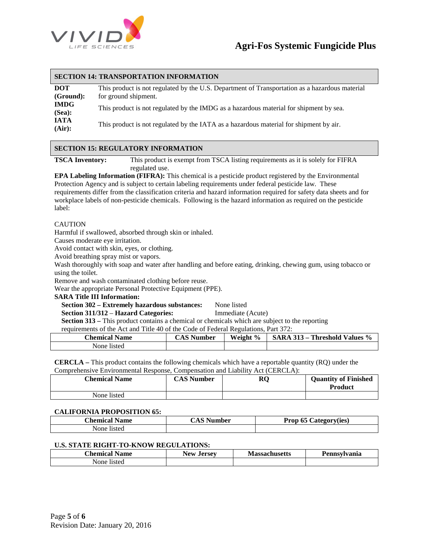

#### **SECTION 14: TRANSPORTATION INFORMATION**

| <b>DOT</b>            | This product is not regulated by the U.S. Department of Transportation as a hazardous material |
|-----------------------|------------------------------------------------------------------------------------------------|
| (Ground):             | for ground shipment.                                                                           |
| <b>IMDG</b><br>(Sea): | This product is not regulated by the IMDG as a hazardous material for shipment by sea.         |
| <b>IATA</b><br>(Air): | This product is not regulated by the IATA as a hazardous material for shipment by air.         |

## **SECTION 15: REGULATORY INFORMATION**

**TSCA Inventory:** This product is exempt from TSCA listing requirements as it is solely for FIFRA regulated use.

**EPA Labeling Information (FIFRA):** This chemical is a pesticide product registered by the Environmental Protection Agency and is subject to certain labeling requirements under federal pesticide law. These requirements differ from the classification criteria and hazard information required for safety data sheets and for workplace labels of non-pesticide chemicals. Following is the hazard information as required on the pesticide label:

#### **CAUTION**

Harmful if swallowed, absorbed through skin or inhaled.

Causes moderate eye irritation.

Avoid contact with skin, eyes, or clothing.

Avoid breathing spray mist or vapors.

Wash thoroughly with soap and water after handling and before eating, drinking, chewing gum, using tobacco or using the toilet.

Remove and wash contaminated clothing before reuse.

Wear the appropriate Personal Protective Equipment (PPE).

#### **SARA Title III Information:**

**Section 302 – Extremely hazardous substances:** None listed

 **Section 311/312** – **Hazard Categories:** Immediate (Acute)

 **Section 313 –** This product contains a chemical or chemicals which are subject to the reporting

requirements of the Act and Title 40 of the Code of Federal Regulations, Part 372:

| .                    |        |                         |                                              |
|----------------------|--------|-------------------------|----------------------------------------------|
| <b>Chemical Name</b> | Number | Weight<br>$\frac{0}{0}$ | Threshold Values %<br>$313 -$<br><b>SARA</b> |
| None listed          |        |                         |                                              |

**CERCLA –** This product contains the following chemicals which have a reportable quantity (RQ) under the Comprehensive Environmental Response, Compensation and Liability Act (CERCLA):

| <b>Chemical Name</b> | <b>CAS Number</b> | RQ | <b>Quantity of Finished</b><br><b>Product</b> |
|----------------------|-------------------|----|-----------------------------------------------|
| None listed          |                   |    |                                               |

#### **CALIFORNIA PROPOSITION 65:**

| Chemical.<br>  Name | <b>IACNT</b><br>Number<br>AS. | $\epsilon$<br>Category(ies)<br>Prop 65 |
|---------------------|-------------------------------|----------------------------------------|
| None<br>-listed     |                               |                                        |

#### **U.S. STATE RIGHT-TO-KNOW REGULATIONS:**

| <b>Chemical</b><br>Name | New<br>Jersey<br>u | <b>Massachusetts</b><br>шаээл | $\mathbf{r}$<br><b>Pennsvivania</b> |
|-------------------------|--------------------|-------------------------------|-------------------------------------|
| None<br>listed          |                    |                               |                                     |